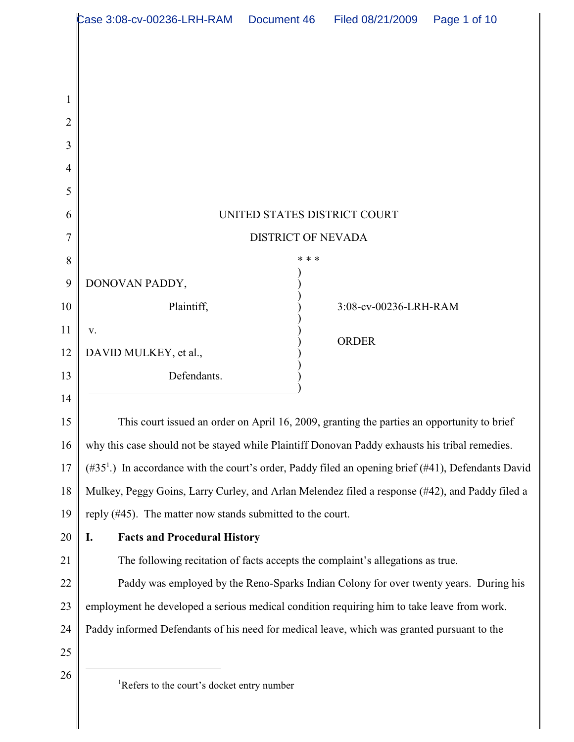|                | Case 3:08-cv-00236-LRH-RAM                                                                                      | Document 46 | Filed 08/21/2009      | Page 1 of 10 |  |
|----------------|-----------------------------------------------------------------------------------------------------------------|-------------|-----------------------|--------------|--|
|                |                                                                                                                 |             |                       |              |  |
|                |                                                                                                                 |             |                       |              |  |
| 1              |                                                                                                                 |             |                       |              |  |
| $\overline{2}$ |                                                                                                                 |             |                       |              |  |
| 3              |                                                                                                                 |             |                       |              |  |
| 4              |                                                                                                                 |             |                       |              |  |
| 5              |                                                                                                                 |             |                       |              |  |
| 6              | UNITED STATES DISTRICT COURT                                                                                    |             |                       |              |  |
| 7              | <b>DISTRICT OF NEVADA</b>                                                                                       |             |                       |              |  |
| 8              |                                                                                                                 | * * *       |                       |              |  |
| 9              | DONOVAN PADDY,                                                                                                  |             |                       |              |  |
| 10             | Plaintiff,                                                                                                      |             | 3:08-cv-00236-LRH-RAM |              |  |
| 11             | V.                                                                                                              |             | <b>ORDER</b>          |              |  |
| 12             | DAVID MULKEY, et al.,                                                                                           |             |                       |              |  |
| 13             | Defendants.                                                                                                     |             |                       |              |  |
| 14             |                                                                                                                 |             |                       |              |  |
| 15             | This court issued an order on April 16, 2009, granting the parties an opportunity to brief                      |             |                       |              |  |
| 16             | why this case should not be stayed while Plaintiff Donovan Paddy exhausts his tribal remedies.                  |             |                       |              |  |
| 17             | (#35 <sup>1</sup> .) In accordance with the court's order, Paddy filed an opening brief (#41), Defendants David |             |                       |              |  |
| 18             | Mulkey, Peggy Goins, Larry Curley, and Arlan Melendez filed a response (#42), and Paddy filed a                 |             |                       |              |  |
| 19             | reply (#45). The matter now stands submitted to the court.                                                      |             |                       |              |  |
| 20             | <b>Facts and Procedural History</b><br>I.                                                                       |             |                       |              |  |
| 21             | The following recitation of facts accepts the complaint's allegations as true.                                  |             |                       |              |  |
| 22             | Paddy was employed by the Reno-Sparks Indian Colony for over twenty years. During his                           |             |                       |              |  |
| 23             | employment he developed a serious medical condition requiring him to take leave from work.                      |             |                       |              |  |
| 24             | Paddy informed Defendants of his need for medical leave, which was granted pursuant to the                      |             |                       |              |  |
| 25             |                                                                                                                 |             |                       |              |  |
| 26             | <sup>1</sup> Refers to the court's docket entry number                                                          |             |                       |              |  |
|                |                                                                                                                 |             |                       |              |  |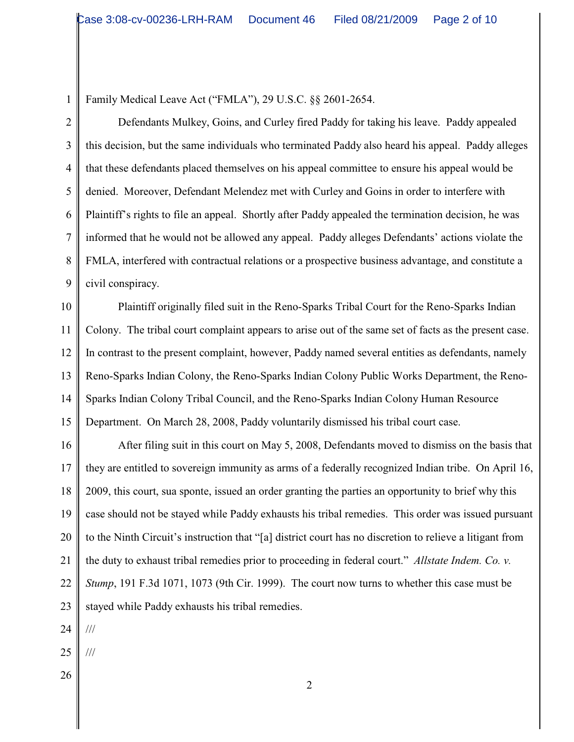1 2 Family Medical Leave Act ("FMLA"), 29 U.S.C. §§ 2601-2654.

3 4 5 6 7 8 9 Defendants Mulkey, Goins, and Curley fired Paddy for taking his leave. Paddy appealed this decision, but the same individuals who terminated Paddy also heard his appeal. Paddy alleges that these defendants placed themselves on his appeal committee to ensure his appeal would be denied. Moreover, Defendant Melendez met with Curley and Goins in order to interfere with Plaintiff's rights to file an appeal. Shortly after Paddy appealed the termination decision, he was informed that he would not be allowed any appeal. Paddy alleges Defendants' actions violate the FMLA, interfered with contractual relations or a prospective business advantage, and constitute a civil conspiracy.

10 11 12 13 14 15 Plaintiff originally filed suit in the Reno-Sparks Tribal Court for the Reno-Sparks Indian Colony. The tribal court complaint appears to arise out of the same set of facts as the present case. In contrast to the present complaint, however, Paddy named several entities as defendants, namely Reno-Sparks Indian Colony, the Reno-Sparks Indian Colony Public Works Department, the Reno-Sparks Indian Colony Tribal Council, and the Reno-Sparks Indian Colony Human Resource Department. On March 28, 2008, Paddy voluntarily dismissed his tribal court case.

16 17 18 19 20 21 22 23 After filing suit in this court on May 5, 2008, Defendants moved to dismiss on the basis that they are entitled to sovereign immunity as arms of a federally recognized Indian tribe. On April 16, 2009, this court, sua sponte, issued an order granting the parties an opportunity to brief why this case should not be stayed while Paddy exhausts his tribal remedies. This order was issued pursuant to the Ninth Circuit's instruction that "[a] district court has no discretion to relieve a litigant from the duty to exhaust tribal remedies prior to proceeding in federal court." *Allstate Indem. Co. v. Stump*, 191 F.3d 1071, 1073 (9th Cir. 1999). The court now turns to whether this case must be stayed while Paddy exhausts his tribal remedies.

24 ///

25

///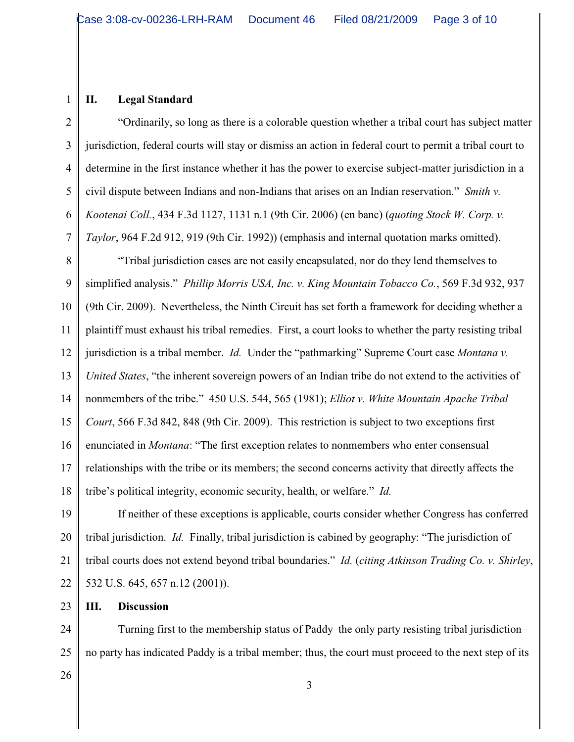1

2

3

4

5

6

7

## **II. Legal Standard**

"Ordinarily, so long as there is a colorable question whether a tribal court has subject matter jurisdiction, federal courts will stay or dismiss an action in federal court to permit a tribal court to determine in the first instance whether it has the power to exercise subject-matter jurisdiction in a civil dispute between Indians and non-Indians that arises on an Indian reservation." *Smith v. Kootenai Coll.*, 434 F.3d 1127, 1131 n.1 (9th Cir. 2006) (en banc) (*quoting Stock W. Corp. v. Taylor*, 964 F.2d 912, 919 (9th Cir. 1992)) (emphasis and internal quotation marks omitted).

8 9 10 11 12 13 14 15 16 17 18 "Tribal jurisdiction cases are not easily encapsulated, nor do they lend themselves to simplified analysis." *Phillip Morris USA, Inc. v. King Mountain Tobacco Co.*, 569 F.3d 932, 937 (9th Cir. 2009). Nevertheless, the Ninth Circuit has set forth a framework for deciding whether a plaintiff must exhaust his tribal remedies. First, a court looks to whether the party resisting tribal jurisdiction is a tribal member. *Id.* Under the "pathmarking" Supreme Court case *Montana v. United States*, "the inherent sovereign powers of an Indian tribe do not extend to the activities of nonmembers of the tribe." 450 U.S. 544, 565 (1981); *Elliot v. White Mountain Apache Tribal Court*, 566 F.3d 842, 848 (9th Cir. 2009). This restriction is subject to two exceptions first enunciated in *Montana*: "The first exception relates to nonmembers who enter consensual relationships with the tribe or its members; the second concerns activity that directly affects the tribe's political integrity, economic security, health, or welfare." *Id.* 

19 20 21 22 If neither of these exceptions is applicable, courts consider whether Congress has conferred tribal jurisdiction. *Id.* Finally, tribal jurisdiction is cabined by geography: "The jurisdiction of tribal courts does not extend beyond tribal boundaries." *Id.* (*citing Atkinson Trading Co. v. Shirley*, 532 U.S. 645, 657 n.12 (2001)).

**III. Discussion**

24 25 Turning first to the membership status of Paddy–the only party resisting tribal jurisdiction– no party has indicated Paddy is a tribal member; thus, the court must proceed to the next step of its

26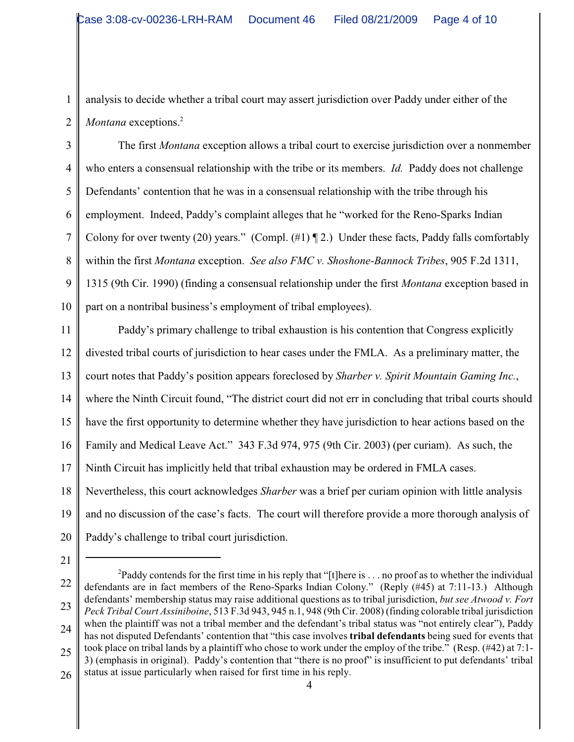2 analysis to decide whether a tribal court may assert jurisdiction over Paddy under either of the *Montana* exceptions.<sup>2</sup>

3 4 5 6 7 8 9 10 The first *Montana* exception allows a tribal court to exercise jurisdiction over a nonmember who enters a consensual relationship with the tribe or its members. *Id.* Paddy does not challenge Defendants' contention that he was in a consensual relationship with the tribe through his employment. Indeed, Paddy's complaint alleges that he "worked for the Reno-Sparks Indian Colony for over twenty (20) years." (Compl.  $(\#1) \P 2$ .) Under these facts, Paddy falls comfortably within the first *Montana* exception. *See also FMC v. Shoshone-Bannock Tribes*, 905 F.2d 1311, 1315 (9th Cir. 1990) (finding a consensual relationship under the first *Montana* exception based in part on a nontribal business's employment of tribal employees).

11 12 13 14 15 16 17 18 19 20 Paddy's primary challenge to tribal exhaustion is his contention that Congress explicitly divested tribal courts of jurisdiction to hear cases under the FMLA. As a preliminary matter, the court notes that Paddy's position appears foreclosed by *Sharber v. Spirit Mountain Gaming Inc.*, where the Ninth Circuit found, "The district court did not err in concluding that tribal courts should have the first opportunity to determine whether they have jurisdiction to hear actions based on the Family and Medical Leave Act." 343 F.3d 974, 975 (9th Cir. 2003) (per curiam). As such, the Ninth Circuit has implicitly held that tribal exhaustion may be ordered in FMLA cases. Nevertheless, this court acknowledges *Sharber* was a brief per curiam opinion with little analysis and no discussion of the case's facts. The court will therefore provide a more thorough analysis of Paddy's challenge to tribal court jurisdiction.

1

21

<sup>22</sup> 23 24 25 26 <sup>2</sup>Paddy contends for the first time in his reply that "[t]here is . . . no proof as to whether the individual 2 defendants are in fact members of the Reno-Sparks Indian Colony." (Reply (#45) at 7:11-13.) Although defendants' membership status may raise additional questions as to tribal jurisdiction, *but see Atwood v. Fort Peck Tribal Court Assiniboine*, 513 F.3d 943, 945 n.1, 948 (9th Cir. 2008) (finding colorable tribal jurisdiction when the plaintiff was not a tribal member and the defendant's tribal status was "not entirely clear"), Paddy has not disputed Defendants' contention that "this case involves **tribal defendants** being sued for events that took place on tribal lands by a plaintiff who chose to work under the employ of the tribe." (Resp. (#42) at 7:1- 3) (emphasis in original). Paddy's contention that "there is no proof" is insufficient to put defendants' tribal status at issue particularly when raised for first time in his reply.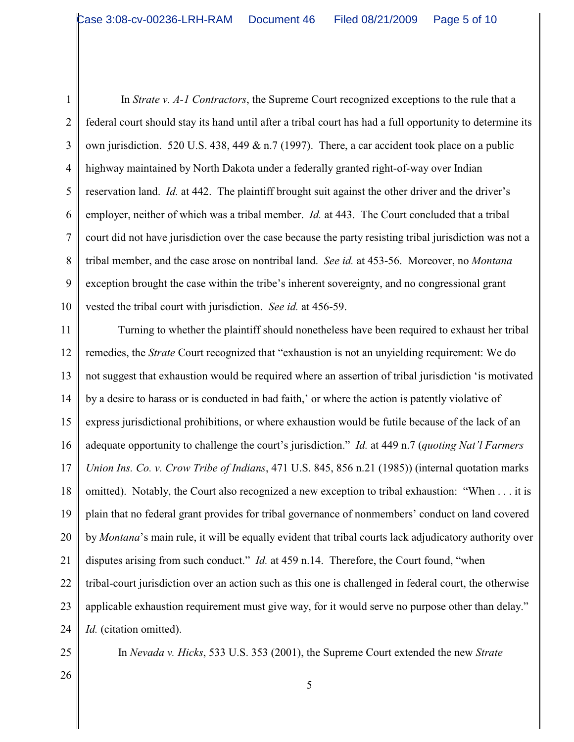1 2 3 4 5 6 7 8 9 10 In *Strate v. A-1 Contractors*, the Supreme Court recognized exceptions to the rule that a federal court should stay its hand until after a tribal court has had a full opportunity to determine its own jurisdiction. 520 U.S. 438, 449 & n.7 (1997). There, a car accident took place on a public highway maintained by North Dakota under a federally granted right-of-way over Indian reservation land. *Id.* at 442. The plaintiff brought suit against the other driver and the driver's employer, neither of which was a tribal member. *Id.* at 443. The Court concluded that a tribal court did not have jurisdiction over the case because the party resisting tribal jurisdiction was not a tribal member, and the case arose on nontribal land. *See id.* at 453-56. Moreover, no *Montana* exception brought the case within the tribe's inherent sovereignty, and no congressional grant vested the tribal court with jurisdiction. *See id.* at 456-59.

11 12 13 14 15 16 17 18 19 20 21 22 23 24 Turning to whether the plaintiff should nonetheless have been required to exhaust her tribal remedies, the *Strate* Court recognized that "exhaustion is not an unyielding requirement: We do not suggest that exhaustion would be required where an assertion of tribal jurisdiction 'is motivated by a desire to harass or is conducted in bad faith,' or where the action is patently violative of express jurisdictional prohibitions, or where exhaustion would be futile because of the lack of an adequate opportunity to challenge the court's jurisdiction." *Id.* at 449 n.7 (*quoting Nat'l Farmers Union Ins. Co. v. Crow Tribe of Indians*, 471 U.S. 845, 856 n.21 (1985)) (internal quotation marks omitted). Notably, the Court also recognized a new exception to tribal exhaustion: "When . . . it is plain that no federal grant provides for tribal governance of nonmembers' conduct on land covered by *Montana*'s main rule, it will be equally evident that tribal courts lack adjudicatory authority over disputes arising from such conduct." *Id.* at 459 n.14. Therefore, the Court found, "when tribal-court jurisdiction over an action such as this one is challenged in federal court, the otherwise applicable exhaustion requirement must give way, for it would serve no purpose other than delay." *Id.* (citation omitted).

25

In *Nevada v. Hicks*, 533 U.S. 353 (2001), the Supreme Court extended the new *Strate*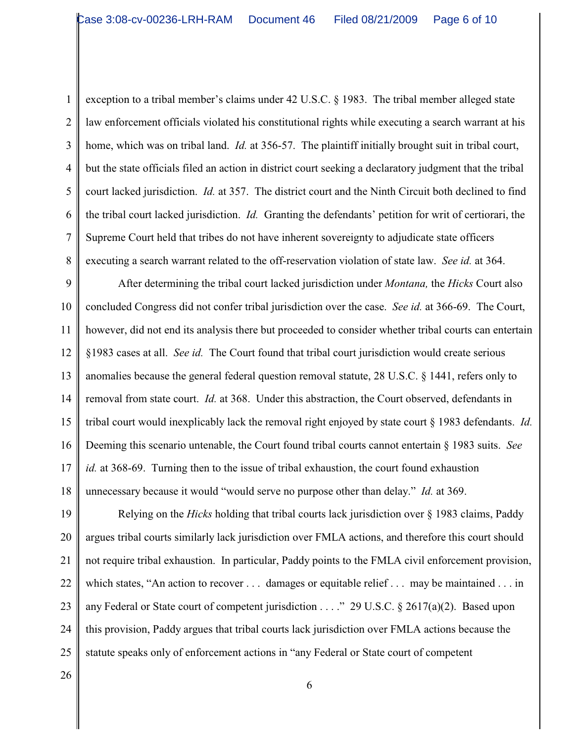4 5 6 7 8 exception to a tribal member's claims under 42 U.S.C. § 1983. The tribal member alleged state law enforcement officials violated his constitutional rights while executing a search warrant at his home, which was on tribal land. *Id.* at 356-57. The plaintiff initially brought suit in tribal court, but the state officials filed an action in district court seeking a declaratory judgment that the tribal court lacked jurisdiction. *Id.* at 357. The district court and the Ninth Circuit both declined to find the tribal court lacked jurisdiction. *Id.* Granting the defendants' petition for writ of certiorari, the Supreme Court held that tribes do not have inherent sovereignty to adjudicate state officers executing a search warrant related to the off-reservation violation of state law. *See id.* at 364.

9 10 11 12 13 14 15 16 17 18 After determining the tribal court lacked jurisdiction under *Montana,* the *Hicks* Court also concluded Congress did not confer tribal jurisdiction over the case. *See id.* at 366-69. The Court, however, did not end its analysis there but proceeded to consider whether tribal courts can entertain §1983 cases at all. *See id.* The Court found that tribal court jurisdiction would create serious anomalies because the general federal question removal statute, 28 U.S.C. § 1441, refers only to removal from state court. *Id.* at 368. Under this abstraction, the Court observed, defendants in tribal court would inexplicably lack the removal right enjoyed by state court § 1983 defendants. *Id.* Deeming this scenario untenable, the Court found tribal courts cannot entertain § 1983 suits. *See id.* at 368-69. Turning then to the issue of tribal exhaustion, the court found exhaustion unnecessary because it would "would serve no purpose other than delay." *Id.* at 369.

19 20 21 22 23 24 25 Relying on the *Hicks* holding that tribal courts lack jurisdiction over § 1983 claims, Paddy argues tribal courts similarly lack jurisdiction over FMLA actions, and therefore this court should not require tribal exhaustion. In particular, Paddy points to the FMLA civil enforcement provision, which states, "An action to recover . . . damages or equitable relief . . . may be maintained . . . in any Federal or State court of competent jurisdiction . . . ." 29 U.S.C. § 2617(a)(2). Based upon this provision, Paddy argues that tribal courts lack jurisdiction over FMLA actions because the statute speaks only of enforcement actions in "any Federal or State court of competent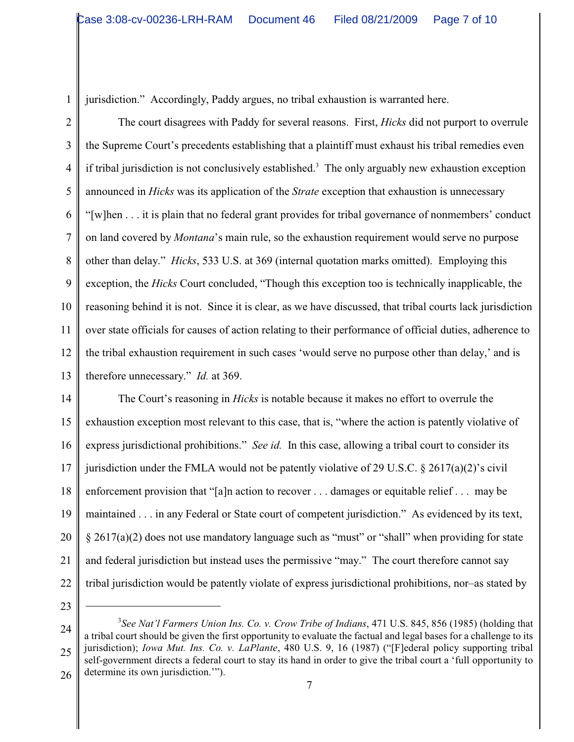jurisdiction." Accordingly, Paddy argues, no tribal exhaustion is warranted here.

2 3 4 5 6 7 8 9 10 11 12 13 The court disagrees with Paddy for several reasons. First, *Hicks* did not purport to overrule the Supreme Court's precedents establishing that a plaintiff must exhaust his tribal remedies even if tribal jurisdiction is not conclusively established.<sup>3</sup> The only arguably new exhaustion exception announced in *Hicks* was its application of the *Strate* exception that exhaustion is unnecessary "[w]hen . . . it is plain that no federal grant provides for tribal governance of nonmembers' conduct on land covered by *Montana*'s main rule, so the exhaustion requirement would serve no purpose other than delay." *Hicks*, 533 U.S. at 369 (internal quotation marks omitted). Employing this exception, the *Hicks* Court concluded, "Though this exception too is technically inapplicable, the reasoning behind it is not. Since it is clear, as we have discussed, that tribal courts lack jurisdiction over state officials for causes of action relating to their performance of official duties, adherence to the tribal exhaustion requirement in such cases 'would serve no purpose other than delay,' and is therefore unnecessary." *Id.* at 369.

14 15 16 17 18 19 20 21 22 The Court's reasoning in *Hicks* is notable because it makes no effort to overrule the exhaustion exception most relevant to this case, that is, "where the action is patently violative of express jurisdictional prohibitions." *See id.* In this case, allowing a tribal court to consider its jurisdiction under the FMLA would not be patently violative of 29 U.S.C.  $\S$  2617(a)(2)'s civil enforcement provision that "[a]n action to recover . . . damages or equitable relief . . . may be maintained . . . in any Federal or State court of competent jurisdiction." As evidenced by its text, § 2617(a)(2) does not use mandatory language such as "must" or "shall" when providing for state and federal jurisdiction but instead uses the permissive "may." The court therefore cannot say tribal jurisdiction would be patently violate of express jurisdictional prohibitions, nor–as stated by

23

1

24 25 26 <sup>3</sup>See Nat'l Farmers Union Ins. Co. v. Crow Tribe of Indians, 471 U.S. 845, 856 (1985) (holding that a tribal court should be given the first opportunity to evaluate the factual and legal bases for a challenge to its jurisdiction); *Iowa Mut. Ins. Co. v. LaPlante*, 480 U.S. 9, 16 (1987) ("[F]ederal policy supporting tribal self-government directs a federal court to stay its hand in order to give the tribal court a 'full opportunity to determine its own jurisdiction.'").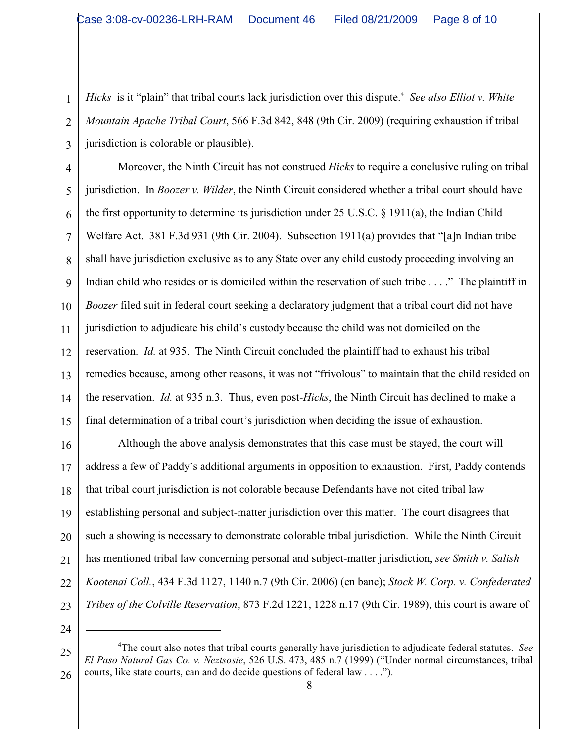Hicks-is it "plain" that tribal courts lack jurisdiction over this dispute.<sup>4</sup> See also Elliot v. White *Mountain Apache Tribal Court*, 566 F.3d 842, 848 (9th Cir. 2009) (requiring exhaustion if tribal jurisdiction is colorable or plausible).

4 5 6 7 8 9 10 11 12 13 14 15 Moreover, the Ninth Circuit has not construed *Hicks* to require a conclusive ruling on tribal jurisdiction. In *Boozer v. Wilder*, the Ninth Circuit considered whether a tribal court should have the first opportunity to determine its jurisdiction under 25 U.S.C. § 1911(a), the Indian Child Welfare Act. 381 F.3d 931 (9th Cir. 2004). Subsection 1911(a) provides that "[a]n Indian tribe shall have jurisdiction exclusive as to any State over any child custody proceeding involving an Indian child who resides or is domiciled within the reservation of such tribe . . . ." The plaintiff in *Boozer* filed suit in federal court seeking a declaratory judgment that a tribal court did not have jurisdiction to adjudicate his child's custody because the child was not domiciled on the reservation. *Id.* at 935. The Ninth Circuit concluded the plaintiff had to exhaust his tribal remedies because, among other reasons, it was not "frivolous" to maintain that the child resided on the reservation. *Id.* at 935 n.3. Thus, even post-*Hicks*, the Ninth Circuit has declined to make a final determination of a tribal court's jurisdiction when deciding the issue of exhaustion.

16 17 18 19 20 21 22 23 Although the above analysis demonstrates that this case must be stayed, the court will address a few of Paddy's additional arguments in opposition to exhaustion. First, Paddy contends that tribal court jurisdiction is not colorable because Defendants have not cited tribal law establishing personal and subject-matter jurisdiction over this matter. The court disagrees that such a showing is necessary to demonstrate colorable tribal jurisdiction. While the Ninth Circuit has mentioned tribal law concerning personal and subject-matter jurisdiction, *see Smith v. Salish Kootenai Coll.*, 434 F.3d 1127, 1140 n.7 (9th Cir. 2006) (en banc); *Stock W. Corp. v. Confederated Tribes of the Colville Reservation*, 873 F.2d 1221, 1228 n.17 (9th Cir. 1989), this court is aware of

24

1

2

<sup>25</sup> 26 The court also notes that tribal courts generally have jurisdiction to adjudicate federal statutes. *See* <sup>4</sup> *El Paso Natural Gas Co. v. Neztsosie*, 526 U.S. 473, 485 n.7 (1999) ("Under normal circumstances, tribal courts, like state courts, can and do decide questions of federal law . . . .").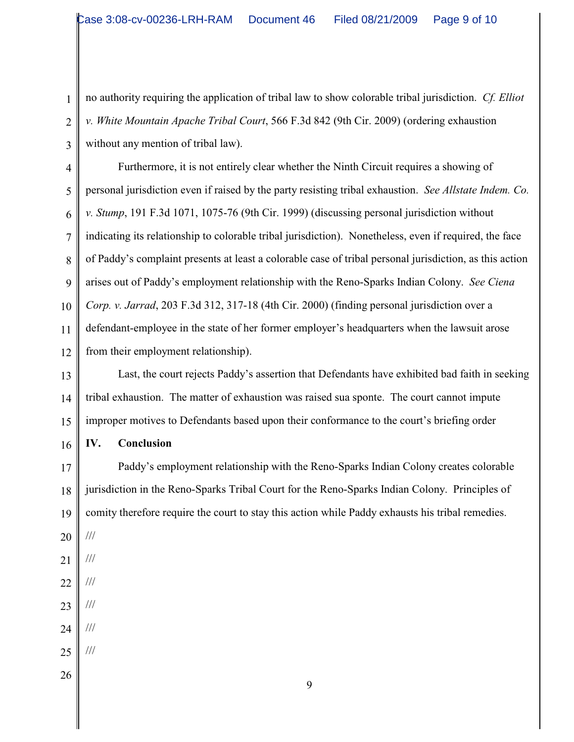no authority requiring the application of tribal law to show colorable tribal jurisdiction. *Cf. Elliot v. White Mountain Apache Tribal Court*, 566 F.3d 842 (9th Cir. 2009) (ordering exhaustion without any mention of tribal law).

4 5 6 7 8 9 10 11 12 Furthermore, it is not entirely clear whether the Ninth Circuit requires a showing of personal jurisdiction even if raised by the party resisting tribal exhaustion. *See Allstate Indem. Co. v. Stump*, 191 F.3d 1071, 1075-76 (9th Cir. 1999) (discussing personal jurisdiction without indicating its relationship to colorable tribal jurisdiction). Nonetheless, even if required, the face of Paddy's complaint presents at least a colorable case of tribal personal jurisdiction, as this action arises out of Paddy's employment relationship with the Reno-Sparks Indian Colony. *See Ciena Corp. v. Jarrad*, 203 F.3d 312, 317-18 (4th Cir. 2000) (finding personal jurisdiction over a defendant-employee in the state of her former employer's headquarters when the lawsuit arose from their employment relationship).

13 14 15 Last, the court rejects Paddy's assertion that Defendants have exhibited bad faith in seeking tribal exhaustion. The matter of exhaustion was raised sua sponte. The court cannot impute improper motives to Defendants based upon their conformance to the court's briefing order

16 **IV. Conclusion**

17 18 19 Paddy's employment relationship with the Reno-Sparks Indian Colony creates colorable jurisdiction in the Reno-Sparks Tribal Court for the Reno-Sparks Indian Colony. Principles of comity therefore require the court to stay this action while Paddy exhausts his tribal remedies.

20

///

1

2

3

- 21 ///
- 22 ///
- 23 ///
- 24 ///

///

- 25
- 26